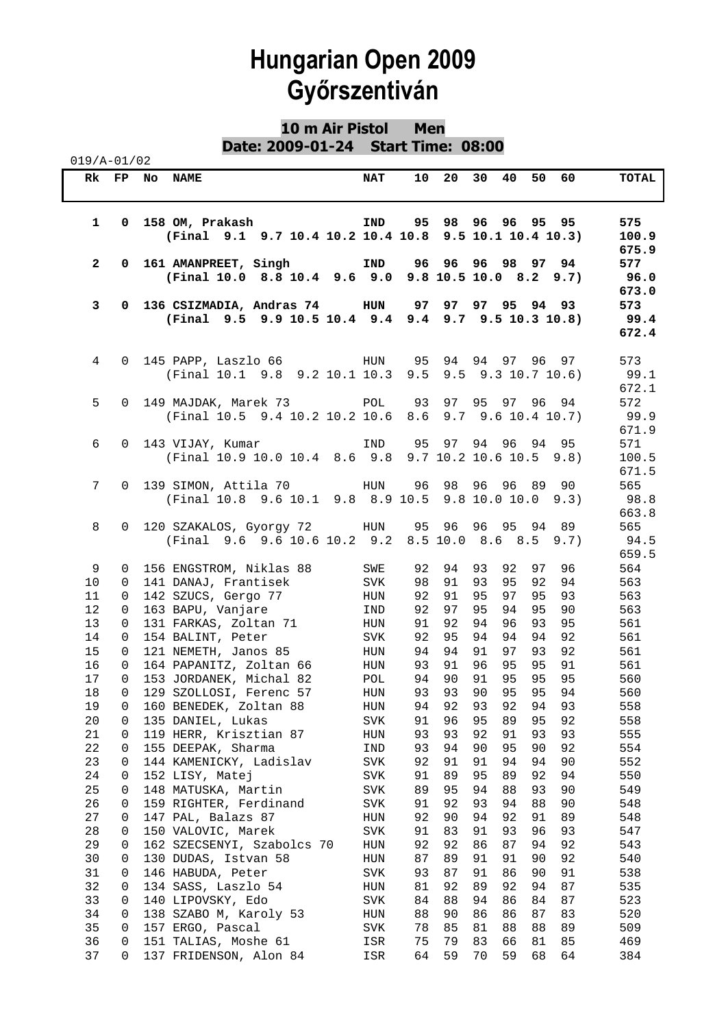#### **10 m Air Pistol Men Date: 2009-01-24 Start Time: 08:00**

| $019/A - 01/02$ |               |                                                                           |             |          |          |                                                   |                      |                       |
|-----------------|---------------|---------------------------------------------------------------------------|-------------|----------|----------|---------------------------------------------------|----------------------|-----------------------|
| Rk              | $\mathbf{FP}$ | <b>NAME</b><br>No                                                         | <b>NAT</b>  | 10       | 20       | 30<br>40                                          | 50<br>60             | TOTAL                 |
| $\mathbf{1}$    | 0             | 158 OM, Prakash<br>(Final 9.1 9.7 10.4 10.2 10.4 10.8                     | IND         | 95       |          | 98 96 96 95 95<br>9.5 10.1 10.4 10.3              |                      | 575<br>100.9<br>675.9 |
| $\mathbf{2}$    | 0             | 161 AMANPREET, Singh<br>(Final 10.0 8.8 10.4 9.6 9.0                      | IND         | 96       |          | 96 96 98 97 94<br>$9.8$ 10.5 10.0 8.2 9.7)        |                      | 577<br>96.0<br>673.0  |
| 3               | 0             | 136 CSIZMADIA, Andras 74 HUN<br>(Final 9.5 9.9 10.5 10.4 9.4 9.4          |             | 97       | 97       | 97 95<br>$9.7$ $9.5$ 10.3 10.8)                   | 93<br>94             | 573<br>99.4<br>672.4  |
| 4               | $\Omega$      | 145 PAPP, Laszlo 66 HUN<br>(Final 10.1 9.8 9.2 10.1 10.3                  |             | 95       |          | 94 94 97 96 97<br>$9.5$ $9.5$ $9.3$ $10.7$ $10.6$ |                      | 573<br>99.1<br>672.1  |
| 5               | $\Omega$      | 149 MAJDAK, Marek 73 POL 93<br>(Final 10.5 9.4 10.2 10.2 10.6 8.6         |             |          | 97       | 95 97 96 94<br>$9.7$ $9.6$ 10.4 10.7)             |                      | 572<br>99.9<br>671.9  |
| 6               | $\Omega$      | 143 VIJAY, Kumar<br>(Final 10.9 10.0 10.4 8.6 9.8 9.7 10.2 10.6 10.5 9.8) | IND         | 95       | 97       | 94<br>96                                          | 94<br>95             | 571<br>100.5<br>671.5 |
| 7               | $\Omega$      | 139 SIMON, Attila 70<br>(Final 10.8 9.6 10.1 9.8 8.9 10.5                 | HUN         | 96       |          | 98 96 96 89 90<br>$9.8$ 10.0 10.0 $9.3$           |                      | 565<br>98.8<br>663.8  |
| 8               | $\Omega$      | 120 SZAKALOS, Gyorgy 72 HUN 95 96<br>(Final 9.6 9.6 10.6 10.2 9.2         |             |          |          | 96 95<br>$8.5$ 10.0 $8.6$ $8.5$ $9.7$ )           | 89<br>94             | 565<br>94.5<br>659.5  |
| 9               | $\mathbf{0}$  | 156 ENGSTROM, Niklas 88                                                   | SWE         | 92       | 94       | 93<br>92                                          | 97<br>96             | 564                   |
| 10              | 0             | 141 DANAJ, Frantisek                                                      | <b>SVK</b>  | 98       | 91       | 93<br>95                                          | 92<br>94             | 563                   |
| 11              | 0             | 142 SZUCS, Gergo 77                                                       | HUN         | 92       | 91       | 97<br>95                                          | 95<br>93             | 563                   |
| 12              |               |                                                                           |             | 92       | 97       | 95<br>94                                          | 95<br>90             | 563                   |
|                 | 0             | 163 BAPU, Vanjare                                                         | IND         |          |          |                                                   |                      |                       |
| 13              | 0             | 131 FARKAS, Zoltan 71                                                     | HUN         | 91       | 92       | 94<br>96<br>94<br>94                              | 93<br>95<br>94       | 561                   |
| 14              | 0             | 154 BALINT, Peter                                                         | SVK         | 92       | 95<br>94 | 91<br>97                                          | 92                   | 561                   |
| 15<br>16        | 0<br>0        | 121 NEMETH, Janos 85<br>164 PAPANITZ, Zoltan 66                           | HUN<br>HUN  | 94<br>93 | 91       | 96<br>95                                          | 93<br>92<br>95<br>91 | 561<br>561            |
| 17              | $\Omega$      | 153 JORDANEK, Michal 82                                                   | POL         | 94       | 90       | 91<br>95                                          | 95<br>95             | 560                   |
| 18              | $\Omega$      | 129 SZOLLOSI, Ferenc 57                                                   | HUN         | 93       | 93       | 90<br>95                                          | 95<br>94             | 560                   |
| 19              | 0             | 160 BENEDEK, Zoltan 88                                                    | ${\tt HUN}$ | 94       | 92       | 93<br>92                                          | 93<br>94             | 558                   |
| 20              | 0             | 135 DANIEL, Lukas                                                         | <b>SVK</b>  | 91       | 96       | 89<br>95                                          | 95<br>92             | 558                   |
| 21              | 0             | 119 HERR, Krisztian 87                                                    | HUN         | 93       | 93       | 92<br>91                                          | 93<br>93             | 555                   |
| 22              | 0             | 155 DEEPAK, Sharma                                                        | IND         | 93       | 94       | 90<br>95                                          | 92<br>90             | 554                   |
| 23              | 0             | 144 KAMENICKY, Ladislav                                                   | SVK         | 92       | 91       | 91<br>94                                          | 90<br>94             | 552                   |
| 24              | 0             | 152 LISY, Matej                                                           | SVK         | 91       | 89       | 95<br>89                                          | 92<br>94             | 550                   |
| 25              | 0             | 148 MATUSKA, Martin                                                       | SVK         | 89       | 95       | 94<br>88                                          | 93<br>90             | 549                   |
| 26              | 0             | 159 RIGHTER, Ferdinand                                                    | SVK         | 91       | 92       | 93<br>94                                          | 88<br>90             | 548                   |
| 27              | 0             | 147 PAL, Balazs 87                                                        | HUN         | 92       | 90       | 92<br>94                                          | 91<br>89             | 548                   |
| 28              | 0             | 150 VALOVIC, Marek                                                        | <b>SVK</b>  | 91       | 83       | 91<br>93                                          | 96<br>93             | 547                   |
| 29              | 0             | 162 SZECSENYI, Szabolcs 70                                                | HUN         | 92       | 92       | 86<br>87                                          | 94<br>92             | 543                   |
| 30              | 0             | 130 DUDAS, Istvan 58                                                      | HUN         | 87       | 89       | 91<br>91                                          | 90<br>92             | 540                   |
| 31              | 0             | 146 HABUDA, Peter                                                         | SVK         | 93       | 87       | 91<br>86                                          | 91<br>90             | 538                   |
| 32              | 0             | 134 SASS, Laszlo 54                                                       | HUN         | 81       | 92       | 89<br>92                                          | 87<br>94             | 535                   |
| 33              | 0             | 140 LIPOVSKY, Edo                                                         | SVK         | 84       | 88       | 94<br>86                                          | 87<br>84             | 523                   |
| 34              | 0             | 138 SZABO M, Karoly 53                                                    | HUN         | 88       | 90       | 86<br>86                                          | 87<br>83             | 520                   |
| 35              | 0             | 157 ERGO, Pascal                                                          | SVK         | 78       | 85       | 81<br>88                                          | 88<br>89             | 509                   |
| 36              | 0             | 151 TALIAS, Moshe 61                                                      | ISR         | 75       | 79       | 83<br>66                                          | 81<br>85             | 469                   |
| 37              | 0             | 137 FRIDENSON, Alon 84                                                    | ISR         | 64       | 59       | 70<br>59                                          | 68<br>64             | 384                   |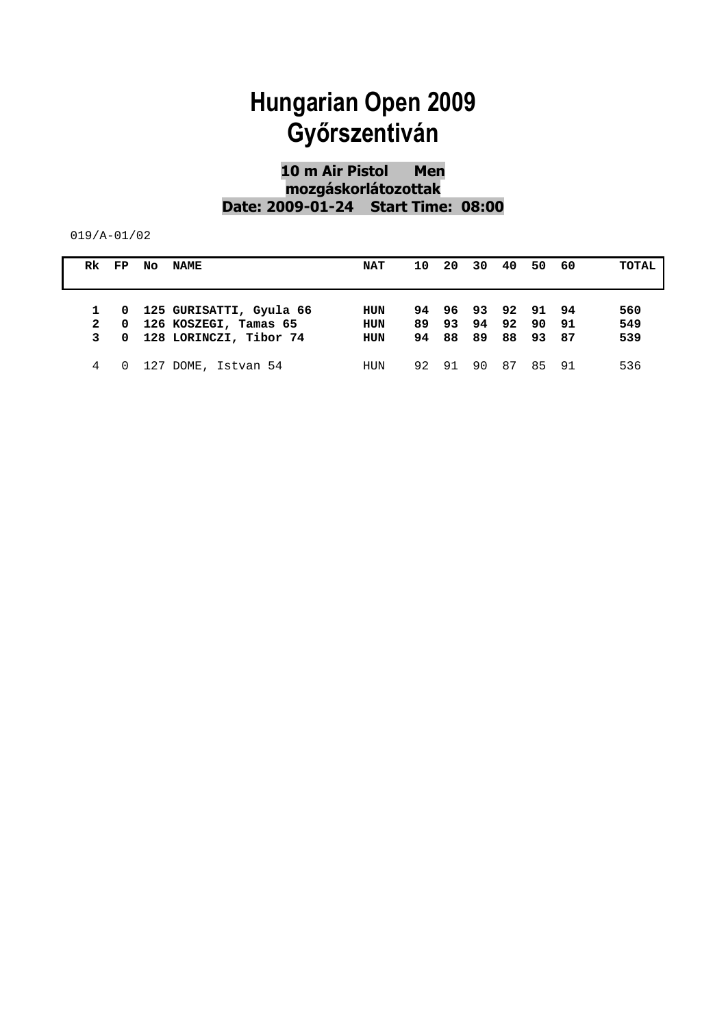#### **10 m Air Pistol Men mozgáskorlátozottak Date: 2009-01-24 Start Time: 08:00**

| Rk FP            |  | NO NAME                                                                            | <b>NAT</b>                             | 10  | -20 | 30 40                                              | 50       | - 60 | TOTAL             |
|------------------|--|------------------------------------------------------------------------------------|----------------------------------------|-----|-----|----------------------------------------------------|----------|------|-------------------|
| 2<br>$3^{\circ}$ |  | 1 0 125 GURISATTI, Gyula 66<br>0 126 KOSZEGI, Tamas 65<br>0 128 LORINCZI, Tibor 74 | <b>HUN</b><br><b>HUN</b><br><b>HUN</b> | 89. |     | 94 96 93 92 91 94<br>93 94 92<br>94 88 89 88 93 87 | 90 91    |      | 560<br>549<br>539 |
|                  |  | 0 127 DOME, Istvan 54                                                              | HUN                                    | 92  | 91  | 90.                                                | 87 85 91 |      | 536               |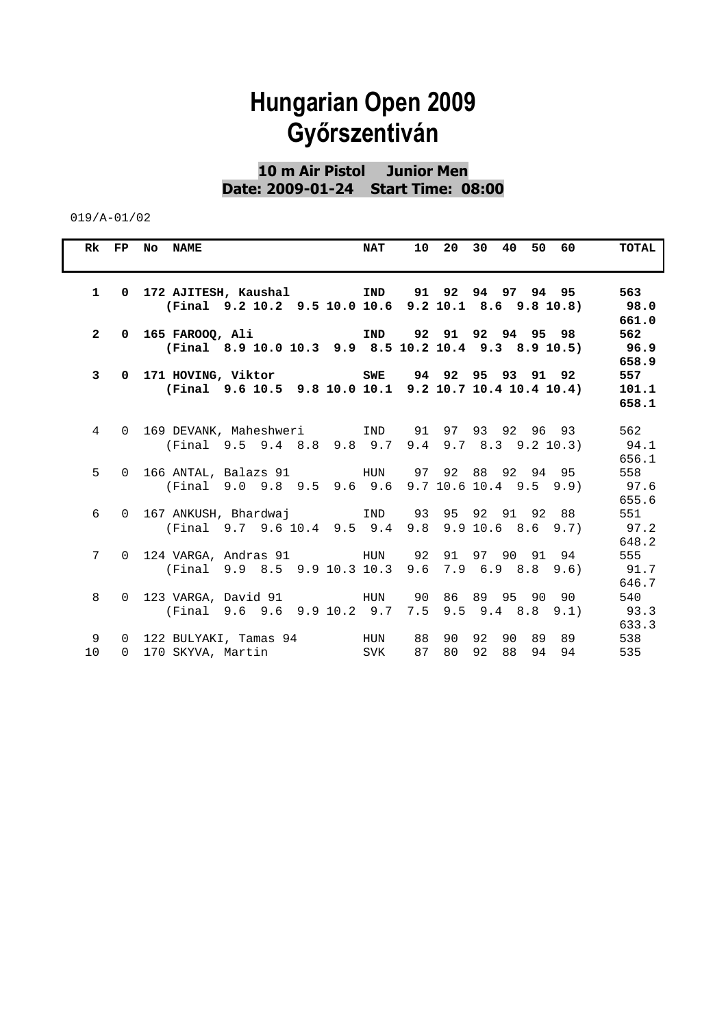#### **10 m Air Pistol Junior Men Date: 2009-01-24 Start Time: 08:00**

|                      | Rk FP No NAME<br><b>NAT</b>                                                                                                          | 10 20 30 40 50 60       | TOTAL                 |
|----------------------|--------------------------------------------------------------------------------------------------------------------------------------|-------------------------|-----------------------|
|                      | 1  0  172  AJITESH, Kaushal         IND     91  92  94  97  94  95<br>$(Final$ 9.2 10.2 9.5 10.0 10.6 9.2 10.1 8.6 9.8 10.8)         |                         | 563<br>98.0<br>661.0  |
|                      | 2 0 165 FAROOQ, Ali                 IND     92   91   92   94   95   98<br>(Final 8.9 10.0 10.3 9.9 8.5 10.2 10.4 9.3 8.9 10.5) 96.9 |                         | 562<br>658.9          |
| 3 <sup>1</sup>       | 0 171 HOVING, Viktor                 SWE     94 92 95 93 91 92<br>(Final 9.6 10.5 9.8 10.0 10.1 9.2 10.7 10.4 10.4 10.4)             |                         | 557<br>101.1<br>658.1 |
|                      | 4 0 169 DEVANK, Maheshweri 1ND 91 97 93 92 96 93<br>(Final 9.5 9.4 8.8 9.8 9.7 9.4 9.7 8.3 9.2 10.3)                                 |                         | 562<br>94.1<br>656.1  |
| 5                    | $(Final 9.0 9.8 9.5 9.6 9.6 9.7 10.6 10.4 9.5 9.9)$                                                                                  |                         | 558<br>97.6<br>655.6  |
| 6                    | 0 167 ANKUSH, Bhardwaj     IND 93 95 92 91 92 88<br>(Final 9.7 9.6 10.4 9.5 9.4 9.8 9.9 10.6 8.6 9.7) 97.2                           |                         | 551<br>648.2          |
|                      | (Final 9.9 8.5 9.9 10.3 10.3 9.6 7.9 6.9 8.8 9.6)                                                                                    |                         | 555<br>91.7<br>646.7  |
| 8                    | (Final 9.6 9.6 9.9 10.2 9.7 7.5 9.5 9.4 8.8 9.1)                                                                                     |                         | 540<br>93.3<br>633.3  |
| 9<br>10 <sup>°</sup> | 0 122 BULYAKI, Tamas 94 MUN 88 90 92 90 89 89<br>0 170 SKYVA, Martin SVK                                                             | 87 80 92 88<br>94<br>94 | 538<br>535            |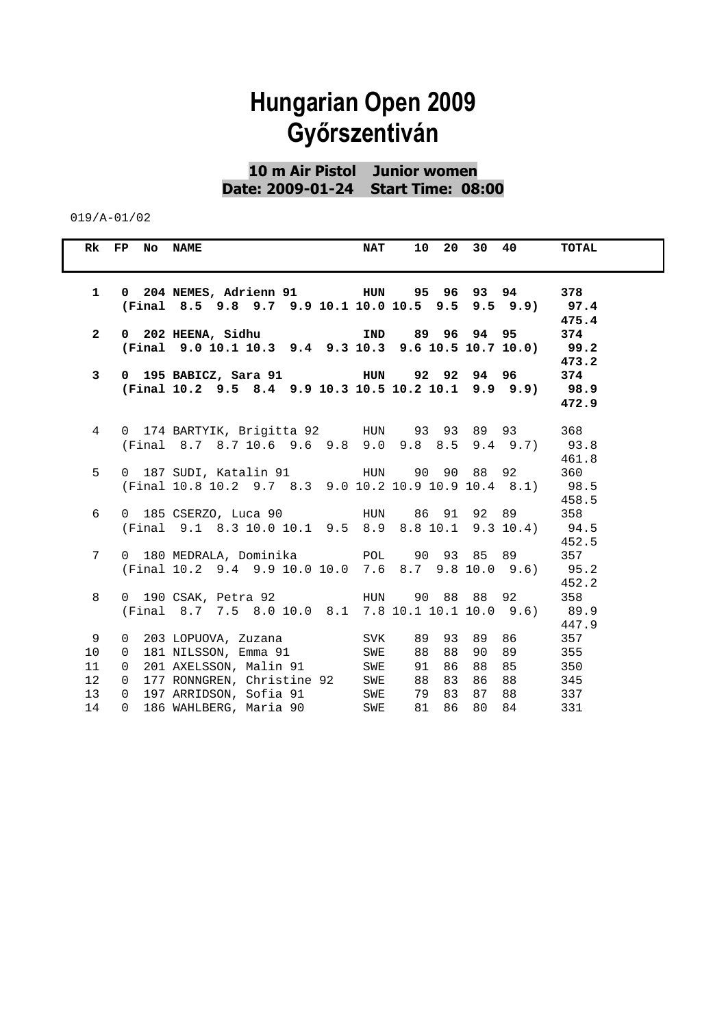**10 m Air Pistol Junior women Date: 2009-01-24 Start Time: 08:00** 

|                 | Rk FP No NAME  |                                                                    | <b>NAT</b> |    | 10 20 30 40 |       | <b>TOTAL</b> |
|-----------------|----------------|--------------------------------------------------------------------|------------|----|-------------|-------|--------------|
|                 |                |                                                                    |            |    |             |       |              |
| $\mathbf{1}$    |                |                                                                    |            |    |             |       | 378          |
|                 |                | (Final 8.5 9.8 9.7 9.9 10.1 10.0 10.5 9.5 9.5 9.9) 97.4            |            |    |             |       |              |
|                 |                |                                                                    |            |    |             |       | 475.4        |
| $\mathbf{2}$    |                | 0 202 HEENA, Sidhu                       IND     89   96   94   95 |            |    |             |       | 374          |
|                 |                | (Final 9.0 10.1 10.3 9.4 9.3 10.3 9.6 10.5 10.7 10.0)              |            |    |             |       | 99.2         |
|                 |                |                                                                    |            |    |             |       | 473.2        |
| 3               |                |                                                                    |            |    |             |       | 374          |
|                 |                | (Final 10.2 9.5 8.4 9.9 10.3 10.5 10.2 10.1 9.9 9.9) 98.9          |            |    |             |       | 472.9        |
|                 |                |                                                                    |            |    |             |       |              |
| $4\overline{ }$ |                |                                                                    |            |    |             |       | 368          |
|                 |                | (Final 8.7 8.7 10.6 9.6 9.8 9.0 9.8 8.5 9.4 9.7) 93.8              |            |    |             |       |              |
|                 |                |                                                                    |            |    |             |       | 461.8        |
| 5               |                | 0 187 SUDI, Katalin 91 6 HUN 90 90 88 92                           |            |    |             |       | 360          |
|                 |                | (Final 10.8 10.2 9.7 8.3 9.0 10.2 10.9 10.9 10.4 8.1) 98.5         |            |    |             |       |              |
|                 |                |                                                                    |            |    |             |       | 458.5        |
| 6               |                |                                                                    |            |    |             |       | 358          |
|                 |                | (Final 9.1 8.3 10.0 10.1 9.5 8.9 8.8 10.1 9.3 10.4) 94.5           |            |    |             |       |              |
|                 |                |                                                                    |            |    |             |       | 452.5        |
| 7               |                |                                                                    |            |    |             |       | 357          |
|                 |                | (Final 10.2 9.4 9.9 10.0 10.0 7.6 8.7 9.8 10.0 9.6)                |            |    |             |       | 95.2         |
|                 |                |                                                                    |            |    |             |       | 452.2        |
| 8               |                | (Final 8.7 7.5 8.0 10.0 8.1 7.8 10.1 10.1 10.0 9.6) 89.9           |            |    |             |       | 358          |
|                 |                |                                                                    |            |    |             |       | 447.9        |
| 9               |                | 0 203 LOPUOVA, Zuzana                                              | SVK        |    | 89 93 89 86 |       | 357          |
| 10 <sup>°</sup> | $\overline{0}$ | 181 NILSSON, Emma 91 SWE                                           |            | 88 | 88 90       | 89    | 355          |
| 11              | $\overline{0}$ | 201 AXELSSON, Malin 91 SWE                                         |            | 91 | 86 88       | 85    | 350          |
| 12              | $\overline{0}$ | 177 RONNGREN, Christine 92 SWE                                     |            | 88 | 83          | 86 88 | 345          |
| 13 <sup>2</sup> | $\overline{0}$ | 197 ARRIDSON, Sofia 91 SWE                                         |            | 79 | 83          | 87 88 | 337          |
| 14              | $\overline{0}$ | 186 WAHLBERG, Maria 90                                             | SWE        | 81 | 86          | 80 84 | 331          |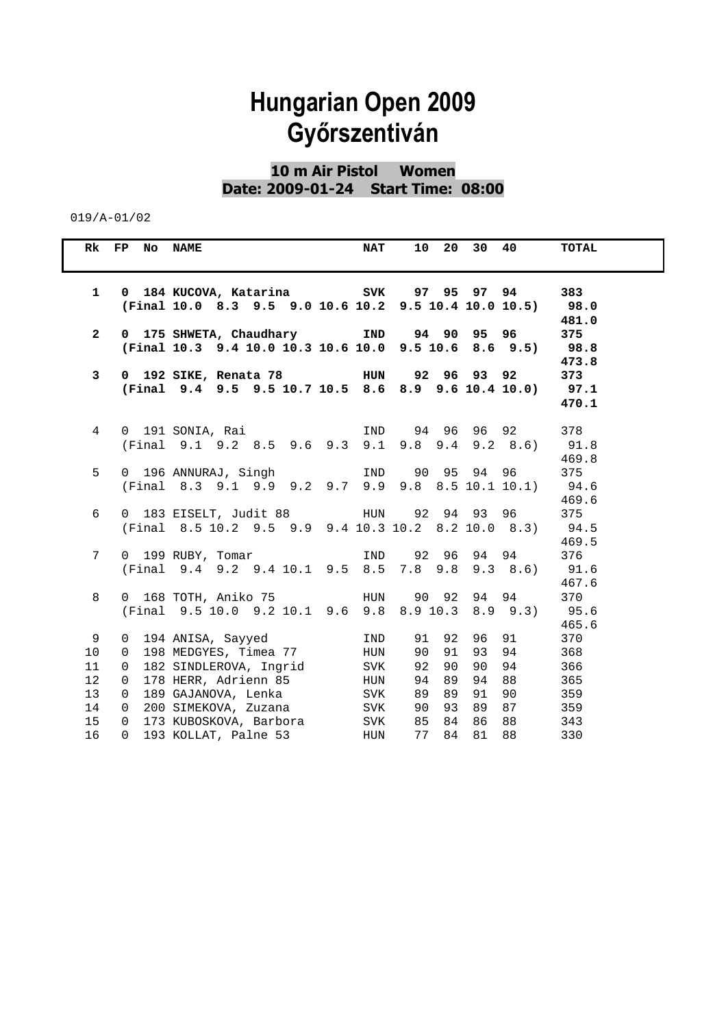**10 m Air Pistol Women Date: 2009-01-24 Start Time: 08:00** 

|                             | Rk FP No NAME                                |                                                                                                                   | <b>NAT</b> |                |                | 10 20 30          | 40                  | <b>TOTAL</b>                  |
|-----------------------------|----------------------------------------------|-------------------------------------------------------------------------------------------------------------------|------------|----------------|----------------|-------------------|---------------------|-------------------------------|
| $\mathbf{1}$                |                                              | (Final 10.0 8.3 9.5 9.0 10.6 10.2 9.5 10.4 10.0 10.5) 98.0                                                        |            |                |                |                   |                     | 383                           |
| $\mathbf{2}$                |                                              | 0 175 SHWETA, Chaudhary 1ND 94 90 95 96<br>(Final 10.3 9.4 10.0 10.3 10.6 10.0 9.5 10.6 8.6 9.5)                  |            |                |                |                   |                     | 481.0<br>375<br>98.8<br>473.8 |
| 3                           |                                              | (Final 9.4 9.5 9.5 10.7 10.5 8.6 8.9 9.6 10.4 10.0) 97.1                                                          |            |                |                |                   |                     | 373<br>470.1                  |
| $4\overline{ }$             |                                              | (Final 9.1 9.2 8.5 9.6 9.3 9.1 9.8 9.4 9.2 8.6) 91.8                                                              |            |                |                |                   |                     | 378<br>469.8                  |
| 5                           |                                              | 0 196 ANNURAJ, Singh 1ND 90 95 94 96<br>(Final 8.3 9.1 9.9 9.2 9.7 9.9 9.8 8.5 10.1 10.1) 94.6                    |            |                |                |                   |                     | 375<br>469.6                  |
| 6                           |                                              | 0 183 EISELT, Judit 88 HUN 92 94 93 96<br>(Final 8.5 10.2 9.5 9.9 9.4 10.3 10.2 8.2 10.0 8.3)                     |            |                |                |                   |                     | 375<br>94.5<br>469.5          |
| $7\overline{ }$             |                                              | 0 199 RUBY, Tomar                   IND     92   96   94   94<br>(Final 9.4 9.2 9.4 10.1 9.5 8.5 7.8 9.8 9.3 8.6) |            |                |                |                   |                     | 376<br>91.6<br>467.6          |
| 8                           |                                              | (Final 9.5 10.0 9.2 10.1 9.6 9.8 8.9 10.3 8.9 9.3)                                                                |            |                |                |                   |                     | 370<br>95.6<br>465.6          |
| 9<br>10                     | $\overline{0}$                               | 0 194 ANISA, Sayyed<br>198 MEDGYES, Timea 77                                                                      | IND<br>HUN | 90             | 91             | 91 92 96<br>93 94 | 91                  | 370<br>368                    |
| 11<br>12 <sup>°</sup><br>13 | $\mathbf 0$<br>$\Omega$<br>$\Omega$          | 182 SINDLEROVA, Ingrid<br>178 HERR, Adrienn 85<br>189 GAJANOVA, Lenka SVK                                         | SVK<br>HUN | 92<br>94<br>89 | 90<br>89<br>89 | 90<br>91          | 94<br>94 88<br>90 0 | 366<br>365<br>359             |
| 14<br>15<br>16              | $\overline{0}$<br>$\overline{0}$<br>$\Omega$ | 200 SIMEKOVA, Zuzana SVK<br>173 KUBOSKOVA, Barbora SVK<br>193 KOLLAT, Palne 53 HUN                                |            | 90<br>85<br>77 | 93<br>84       | 86 88<br>84 81 88 | 89 87               | 359<br>343<br>330             |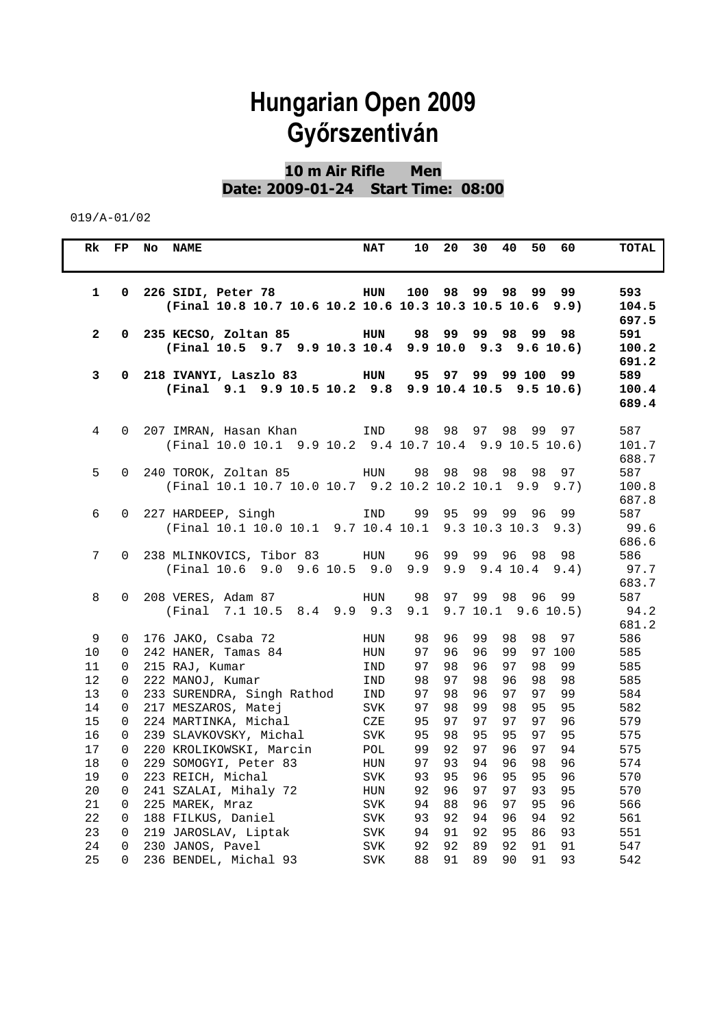**10 m Air Rifle Men Date: 2009-01-24 Start Time: 08:00** 

| Rk           | FP           | <b>NAME</b><br>No                                        | <b>NAT</b> | 20<br>10       | 30<br>40<br>60<br>50                         | TOTAL          |
|--------------|--------------|----------------------------------------------------------|------------|----------------|----------------------------------------------|----------------|
|              |              |                                                          |            |                |                                              |                |
|              |              |                                                          |            |                |                                              |                |
| $\mathbf{1}$ |              | 0 226 SIDI, Peter 78<br><b>Example 11 HUN</b>            |            | 100<br>98      | 99<br>98<br>99<br>99                         | 593            |
|              |              | (Final 10.8 10.7 10.6 10.2 10.6 10.3 10.3 10.5 10.6 9.9) |            |                |                                              | 104.5          |
| $\mathbf{2}$ |              | 0 235 KECSO, Zoltan 85                                   | HUN        | 98<br>99       | 99 98<br>99<br>98                            | 697.5<br>591   |
|              |              | (Final 10.5 9.7 9.9 10.3 10.4                            |            |                | 9.9 10.0 9.3 9.6 10.6                        | 100.2          |
|              |              |                                                          |            |                |                                              | 691.2          |
| 3            | $\mathbf{0}$ | 218 IVANYI, Laszlo 83 HUN                                |            | 9597           | 99 99 100<br>99.                             | 589            |
|              |              | (Final 9.1 9.9 10.5 10.2 9.8 9.9 10.4 10.5 9.5 10.6)     |            |                |                                              | 100.4          |
|              |              |                                                          |            |                |                                              | 689.4          |
|              |              |                                                          |            |                |                                              |                |
| 4            | $\Omega$     | 207 IMRAN, Hasan Khan           IND                      |            | 98 98          | 97 98<br>99<br>97                            | 587            |
|              |              | (Final 10.0 10.1 9.9 10.2 9.4 10.7 10.4 9.9 10.5 10.6)   |            |                |                                              | 101.7          |
|              |              |                                                          |            |                |                                              | 688.7          |
| 5            | $\Omega$     | (Final 10.1 10.7 10.0 10.7 9.2 10.2 10.2 10.1 9.9        |            | 98<br>98       | 98 98 98<br>97                               | 587            |
|              |              |                                                          |            |                | 9.7)                                         | 100.8<br>687.8 |
| 6            |              | 0 227 HARDEEP, Singh                                     | IND        | 99 95          | 99 99<br>96<br>99                            | 587            |
|              |              | (Final 10.1 10.0 10.1 9.7 10.4 10.1 9.3 10.3 10.3        |            |                | 9.3)                                         | 99.6           |
|              |              |                                                          |            |                |                                              | 686.6          |
| 7            | $\Omega$     | 238 MLINKOVICS, Tibor 83 HUN                             |            | 96<br>99       | 99<br>96<br>98<br>98                         | 586            |
|              |              | (Final 10.6 9.0 9.6 10.5 9.0                             |            | 9.9            | $9.9$ $9.4$ $10.4$<br>9.4)                   | 97.7           |
|              |              |                                                          |            |                |                                              | 683.7          |
| 8            | 0            | 208 VERES, Adam 87                                       | HUN        | 98<br>97       | 98<br>96<br>99<br>99                         | 587            |
|              |              | (Final 7.1 10.5 8.4 9.9 9.3                              |            | 9.1            | $9.7$ 10.1 $9.6$ 10.5)                       | 94.2           |
|              |              |                                                          |            |                |                                              | 681.2          |
| 9            | 0            | 176 JAKO, Csaba 72                                       | HUN        | 98<br>96       | 99<br>98<br>98<br>97                         | 586            |
| 10           | $\Omega$     | 242 HANER, Tamas 84                                      | HUN        | 97<br>96       | 96<br>99<br>97 100                           | 585            |
| 11           | 0            | 215 RAJ, Kumar                                           | IND        | 97<br>98       | 97<br>98<br>96<br>99                         | 585            |
| 12           | 0            | 222 MANOJ, Kumar                                         | IND        | 98<br>97       | 98<br>96<br>98<br>98                         | 585            |
| 13           | 0            | 233 SURENDRA, Singh Rathod                               | IND        | 97<br>98       | 97<br>99<br>96<br>97                         | 584            |
| 14           | 0            | 217 MESZAROS, Matej                                      | <b>SVK</b> | 97<br>98       | 99<br>98<br>95<br>95                         | 582            |
| 15           | 0            | 224 MARTINKA, Michal                                     | CZE        | 95<br>97       | 97<br>97<br>97<br>96                         | 579            |
| 16           | 0            | 239 SLAVKOVSKY, Michal                                   | <b>SVK</b> | 95<br>98       | 95<br>95<br>97<br>95                         | 575            |
| 17           | 0            | 220 KROLIKOWSKI, Marcin                                  | POL        | 99<br>92<br>93 | 97<br>96<br>97<br>94<br>94<br>96<br>98<br>96 | 575            |
| 18<br>19     | 0<br>0       | 229 SOMOGYI, Peter 83<br>223 REICH, Michal               | HUN        | 97<br>93<br>95 | 95<br>95<br>96<br>96                         | 574<br>570     |
| 20           | $\Omega$     | 241 SZALAI, Mihaly 72                                    | SVK<br>HUN | 92<br>96       | 97<br>97<br>93<br>95                         | 570            |
| 21           | 0            | 225 MAREK, Mraz                                          | <b>SVK</b> | 94<br>88       | 97<br>95<br>96<br>96                         | 566            |
| 22           | 0            | 188 FILKUS, Daniel                                       | <b>SVK</b> | 92<br>93       | 94<br>96<br>94<br>92                         | 561            |
| 23           | 0            | 219 JAROSLAV, Liptak                                     | <b>SVK</b> | 94<br>91       | 92<br>95<br>86<br>93                         | 551            |
| 24           | 0            | 230 JANOS, Pavel                                         | <b>SVK</b> | 92<br>92       | 92<br>89<br>91<br>91                         | 547            |
| 25           | 0            | 236 BENDEL, Michal 93                                    | <b>SVK</b> | 88<br>91       | 89<br>90<br>91<br>93                         | 542            |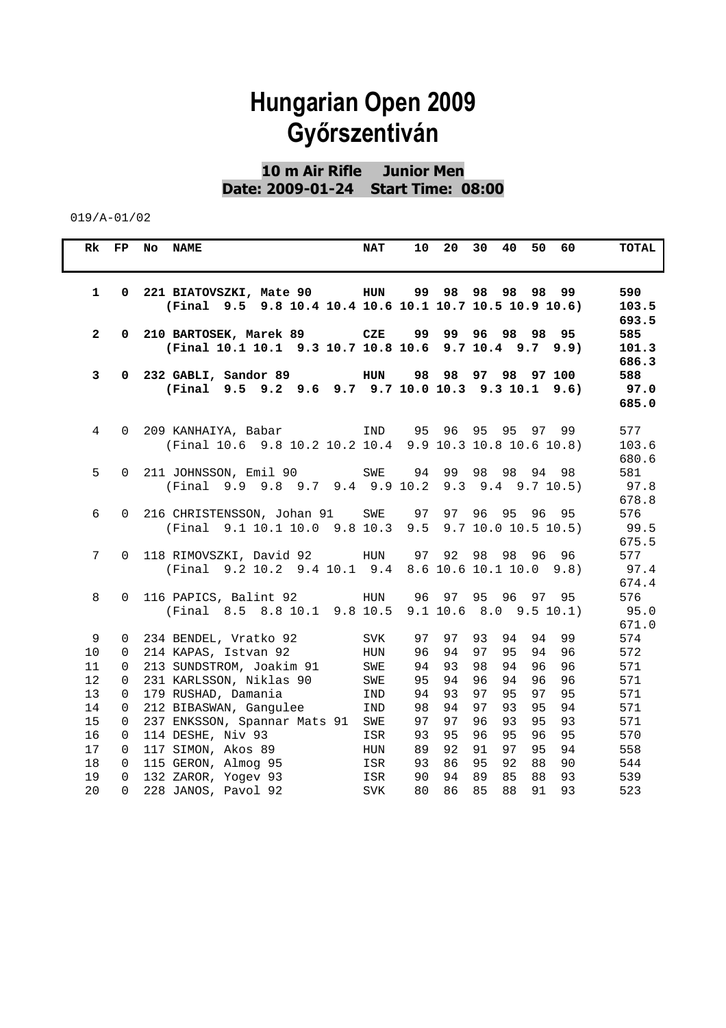**10 m Air Rifle Junior Men Date: 2009-01-24 Start Time: 08:00** 

| Rk           | FP           | No<br><b>NAME</b>                                                                             | <b>NAT</b>  | 10 | 20    | 30<br>40<br>50<br>60                             | TOTAL                         |
|--------------|--------------|-----------------------------------------------------------------------------------------------|-------------|----|-------|--------------------------------------------------|-------------------------------|
| $\mathbf{1}$ | $\mathbf{0}$ | 221 BIATOVSZKI, Mate 90 HUN<br>(Final 9.5 9.8 10.4 10.4 10.6 10.1 10.7 10.5 10.9 10.6)        |             |    | 99 98 | 98<br>98<br>98<br>99                             | 590<br>103.5<br>693.5         |
| $\mathbf{2}$ |              | 0 210 BARTOSEK, Marek 89 CZE<br>(Final 10.1 10.1 9.3 10.7 10.8 10.6 9.7 10.4 9.7              |             | 99 |       | 99 96 98 98<br>95<br>9.9)                        | 585<br>101.3<br>686.3         |
| 3            |              | 0 232 GABLI, Sandor 89<br>(Final 9.5 9.2 9.6 9.7 9.7 10.0 10.3 9.3 10.1                       | <b>HUN</b>  | 98 | 98    | 97 98 97 100<br>9.6)                             | 588<br>97.0<br>685.0          |
| 4            | $\Omega$     | 209 KANHAIYA, Babar<br>(Final 10.6 9.8 10.2 10.2 10.4 9.9 10.3 10.8 10.6 10.8)                | IND         |    |       | 95 96 95 95<br>97<br>99                          | 577<br>103.6<br>680.6         |
| 5            |              | 0 211 JOHNSSON, Emil 90<br>(Final 9.9 9.8 9.7 9.4 9.9 10.2                                    | SWE         | 94 | 99    | 98<br>98<br>94<br>98<br>$9.3$ $9.4$ $9.7$ $10.5$ | 581<br>97.8<br>678.8          |
| 6            | $\Omega$     | 216 CHRISTENSSON, Johan 91 SWE 97 97<br>(Final 9.1 10.1 10.0 9.8 10.3 9.5 9.7 10.0 10.5 10.5) |             |    |       | 96 95 96<br>95                                   | 576<br>99.5                   |
| 7            |              | 0 118 RIMOVSZKI, David 92<br>(Final 9.2 10.2 9.4 10.1 9.4 8.6 10.6 10.1 10.0                  | HUN         | 97 | 92    | 98<br>98<br>96<br>96<br>9.8)                     | 675.5<br>577<br>97.4<br>674.4 |
| 8            | $\Omega$     | 116 PAPICS, Balint 92<br>(Final 8.5 8.8 10.1 9.8 10.5                                         | HUN         |    | 96 97 | 95<br>96 97<br>95<br>$9.1$ 10.6 8.0 9.5 10.1)    | 576<br>95.0<br>671.0          |
| 9            | 0            | 234 BENDEL, Vratko 92                                                                         | <b>SVK</b>  | 97 | 97    | 99<br>93<br>94<br>94                             | 574                           |
| 10           | 0            | 214 KAPAS, Istvan 92                                                                          | HUN         | 96 | 94    | 95<br>97<br>94<br>96                             | 572                           |
| 11           | 0            | 213 SUNDSTROM, Joakim 91                                                                      | SWE         | 94 | 93    | 94<br>98<br>96<br>96                             | 571                           |
| 12           | 0            | 231 KARLSSON, Niklas 90                                                                       | SWE         | 95 | 94    | 96<br>94<br>96<br>96                             | 571                           |
| 13           | 0            | 179 RUSHAD, Damania                                                                           | IND         | 94 | 93    | 97<br>97<br>95<br>95                             | 571                           |
| 14           | 0            | 212 BIBASWAN, Gangulee                                                                        | IND         | 98 | 94    | 97<br>93<br>95<br>94                             | 571                           |
| 15           | 0            | 237 ENKSSON, Spannar Mats 91                                                                  | SWE         | 97 | 97    | 96<br>93<br>95<br>93                             | 571                           |
| 16           | 0            | 114 DESHE, Niv 93                                                                             | ISR         | 93 | 95    | 96<br>95<br>96<br>95                             | 570                           |
| 17           | 0            | 117 SIMON, Akos 89                                                                            | ${\tt HUN}$ | 89 | 92    | 97<br>95<br>94<br>91                             | 558                           |
| 18           | 0            | 115 GERON, Almog 95                                                                           | ISR         | 93 | 86    | 95<br>92<br>88<br>90                             | 544                           |
| 19           | 0            | 132 ZAROR, Yogev 93                                                                           | ISR         | 90 | 94    | 89<br>85<br>88<br>93                             | 539                           |
| 20           | 0            | 228 JANOS, Pavol 92                                                                           | <b>SVK</b>  | 80 | 86    | 85<br>88<br>91<br>93                             | 523                           |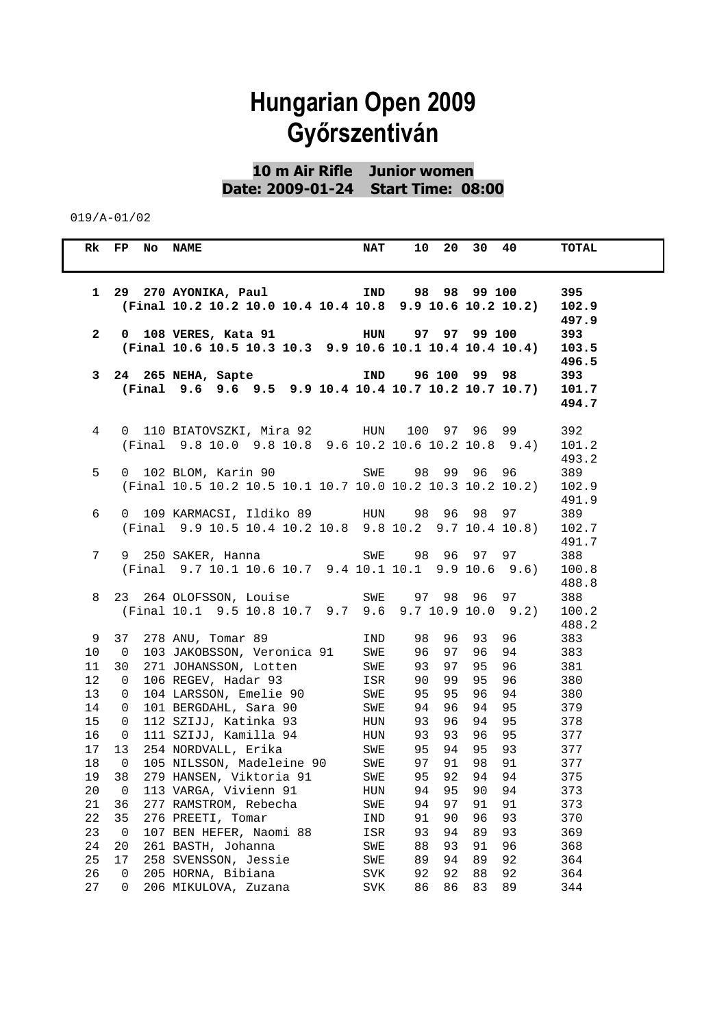**10 m Air Rifle Junior women Date: 2009-01-24 Start Time: 08:00** 

|                 | Rk FP No NAME               |                                                                                                     | <b>NAT</b> |                 |          | 10 20 30 40 |              | TOTAL      |
|-----------------|-----------------------------|-----------------------------------------------------------------------------------------------------|------------|-----------------|----------|-------------|--------------|------------|
|                 |                             |                                                                                                     |            |                 |          |             |              |            |
| $\mathbf{1}$    |                             | 29  270  AYONIKA, Paul           IND     98  98  99  100                                            |            |                 |          |             |              | 395        |
|                 |                             | (Final 10.2 10.2 10.0 10.4 10.4 10.8 9.9 10.6 10.2 10.2)                                            |            |                 |          |             |              | 102.9      |
|                 |                             |                                                                                                     |            |                 |          |             |              | 497.9      |
| $\mathbf{2}$    |                             | 0 108 VERES, Kata 91 100 HUN 97 97 99 100                                                           |            |                 |          |             |              | 393        |
|                 |                             | (Final 10.6 10.5 10.3 10.3 9.9 10.6 10.1 10.4 10.4 10.4)                                            |            |                 |          |             |              | 103.5      |
|                 |                             |                                                                                                     |            |                 |          |             |              | 496.5      |
| 3               |                             | 24 265 NEHA, Sapte                                                                                  | IND        |                 |          |             | 96 100 99 98 | 393        |
|                 |                             | (Final 9.6 9.6 9.5 9.9 10.4 10.4 10.7 10.2 10.7 10.7)                                               |            |                 |          |             |              | 101.7      |
|                 |                             |                                                                                                     |            |                 |          |             |              | 494.7      |
| 4               |                             |                                                                                                     |            |                 |          |             |              | 392        |
|                 |                             | 0 110 BIATOVSZKI, Mira 92 HUN 100 97 96 99<br>(Final 9.8 10.0 9.8 10.8 9.6 10.2 10.6 10.2 10.8 9.4) |            |                 |          |             |              | 101.2      |
|                 |                             |                                                                                                     |            |                 |          |             |              | 493.2      |
| 5               |                             | 0 102 BLOM, Karin 90 SWE                                                                            |            | 98              |          |             | 99 96 96     | 389        |
|                 |                             | (Final 10.5 10.2 10.5 10.1 10.7 10.0 10.2 10.3 10.2 10.2)                                           |            |                 |          |             |              | 102.9      |
|                 |                             |                                                                                                     |            |                 |          |             |              | 491.9      |
| 6               |                             | 0 109 KARMACSI, Ildiko 89 HUN 98 96 98                                                              |            |                 |          |             | 97 —         | 389        |
|                 |                             | (Final 9.9 10.5 10.4 10.2 10.8 9.8 10.2 9.7 10.4 10.8)                                              |            |                 |          |             |              | 102.7      |
|                 |                             |                                                                                                     |            |                 |          |             |              | 491.7      |
| 7               |                             | 9 250 SAKER, Hanna                                                                                  |            | SWE 98 96 97 97 |          |             |              | 388        |
|                 |                             | (Final 9.7 10.1 10.6 10.7 9.4 10.1 10.1 9.9 10.6 9.6)                                               |            |                 |          |             |              | 100.8      |
|                 |                             |                                                                                                     |            |                 |          |             |              | 488.8      |
| 8               |                             | 23 264 OLOFSSON, Louise SWE                                                                         |            |                 |          |             | 97 98 96 97  | 388        |
|                 |                             | (Final 10.1 9.5 10.8 10.7 9.7 9.6 9.7 10.9 10.0 9.2)                                                |            |                 |          |             |              | 100.2      |
|                 |                             |                                                                                                     |            |                 |          |             |              | 488.2      |
| 9               |                             | 37 278 ANU, Tomar 89                                                                                | IND        | 98              |          |             | 96 93 96     | 383        |
| 10 <sup>°</sup> | $\overline{\mathbf{0}}$     | 103 JAKOBSSON, Veronica 91 SWE                                                                      |            | 96              | 97       | 96          | 94           | 383        |
| 11              | 30                          | 271 JOHANSSON, Lotten                                                                               | SWE        | 93              | 97       | 95          | 96           | 381        |
| 12              | $\mathbf{0}$                | 106 REGEV, Hadar 93                                                                                 | ISR        | 90              | 99       | 95          | 96           | 380        |
| 13              | $\mathbf{0}$                | 104 LARSSON, Emelie 90<br>101 BERGDAHL, Sara 90                                                     | SWE        | 95              | 95       |             | 96 94<br>95  | 380        |
| 14<br>15        | $\mathbf{0}$<br>$\mathbf 0$ | 112 SZIJJ, Katinka 93                                                                               | SWE<br>HUN | 94<br>93        | 96<br>96 | 94<br>94 95 |              | 379<br>378 |
| 16              | $\overline{0}$              | 111 SZIJJ, Kamilla 94                                                                               | HUN        | 93              | 93       | 96          | 95           | 377        |
| 17              | 13                          | 254 NORDVALL, Erika                                                                                 | SWE        | 95              | 94       |             | 95 93        | 377        |
| 18              | $\overline{0}$              | 105 NILSSON, Madeleine 90 SWE                                                                       |            | 97              |          |             | 91 98 91     | 377        |
| 19              | 38                          | 279 HANSEN, Viktoria 91                                                                             | SWE        | 95              |          | 92 94       | 94           | 375        |
| 20              |                             | 0 113 VARGA, Vivienn 91                                                                             | HUN        |                 |          | 94 95 90 94 |              | 373        |
| 21              | 36                          | 277 RAMSTROM, Rebecha                                                                               | SWE        | 94              | 97       | 91          | 91           | 373        |
| 22              | 35                          | 276 PREETI, Tomar                                                                                   | IND        | 91              | 90       | 96          | 93           | 370        |
| 23              | $\overline{0}$              | 107 BEN HEFER, Naomi 88                                                                             | ISR        | 93              | 94       | 89          | 93           | 369        |
| 24              | 20                          | 261 BASTH, Johanna                                                                                  | SWE        | 88              | 93       | 91          | 96           | 368        |
| 25              | 17                          | 258 SVENSSON, Jessie                                                                                | SWE        | 89              | 94       | 89          | 92           | 364        |
| 26              | 0                           | 205 HORNA, Bibiana                                                                                  | SVK        | 92              | 92       | 88          | 92           | 364        |
| 27              | 0                           | 206 MIKULOVA, Zuzana                                                                                | <b>SVK</b> | 86              | 86       | 83          | 89           | 344        |